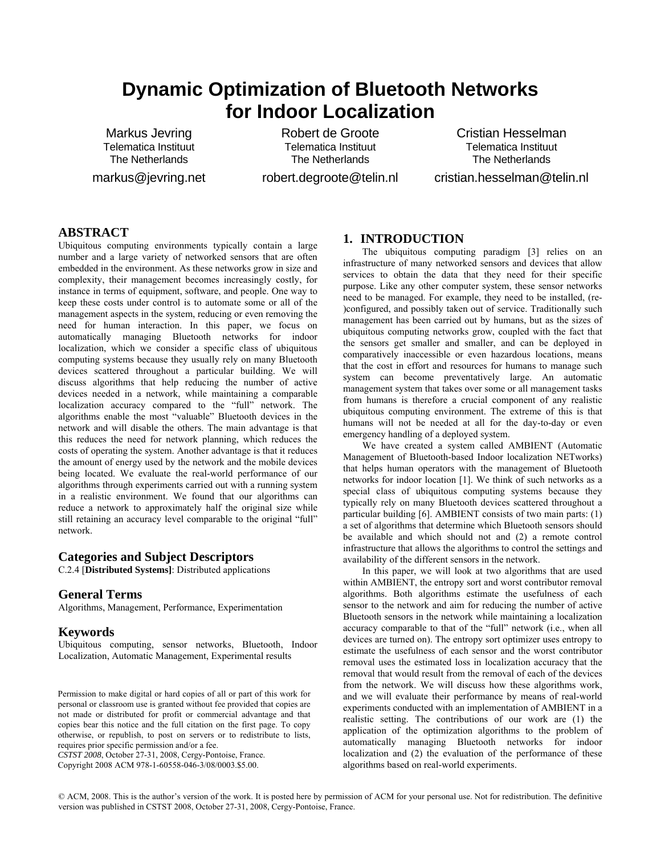# **Dynamic Optimization of Bluetooth Networks for Indoor Localization**

Markus Jevring Telematica Instituut The Netherlands markus@jevring.net

Robert de Groote Telematica Instituut The Netherlands robert.degroote@telin.nl Cristian Hesselman Telematica Instituut The Netherlands

cristian.hesselman@telin.nl

# **ABSTRACT**

Ubiquitous computing environments typically contain a large number and a large variety of networked sensors that are often embedded in the environment. As these networks grow in size and complexity, their management becomes increasingly costly, for instance in terms of equipment, software, and people. One way to keep these costs under control is to automate some or all of the management aspects in the system, reducing or even removing the need for human interaction. In this paper, we focus on automatically managing Bluetooth networks for indoor localization, which we consider a specific class of ubiquitous computing systems because they usually rely on many Bluetooth devices scattered throughout a particular building. We will discuss algorithms that help reducing the number of active devices needed in a network, while maintaining a comparable localization accuracy compared to the "full" network. The algorithms enable the most "valuable" Bluetooth devices in the network and will disable the others. The main advantage is that this reduces the need for network planning, which reduces the costs of operating the system. Another advantage is that it reduces the amount of energy used by the network and the mobile devices being located. We evaluate the real-world performance of our algorithms through experiments carried out with a running system in a realistic environment. We found that our algorithms can reduce a network to approximately half the original size while still retaining an accuracy level comparable to the original "full" network.

#### **Categories and Subject Descriptors**

C.2.4 [**Distributed Systems]**: Distributed applications

#### **General Terms**

Algorithms, Management, Performance, Experimentation

#### **Keywords**

Ubiquitous computing, sensor networks, Bluetooth, Indoor Localization, Automatic Management, Experimental results

*CSTST 2008*, October 27-31, 2008, Cergy-Pontoise, France. Copyright 2008 ACM 978-1-60558-046-3/08/0003.\$5.00.

# **1. INTRODUCTION**

The ubiquitous computing paradigm [3] relies on an infrastructure of many networked sensors and devices that allow services to obtain the data that they need for their specific purpose. Like any other computer system, these sensor networks need to be managed. For example, they need to be installed, (re- )configured, and possibly taken out of service. Traditionally such management has been carried out by humans, but as the sizes of ubiquitous computing networks grow, coupled with the fact that the sensors get smaller and smaller, and can be deployed in comparatively inaccessible or even hazardous locations, means that the cost in effort and resources for humans to manage such system can become preventatively large. An automatic management system that takes over some or all management tasks from humans is therefore a crucial component of any realistic ubiquitous computing environment. The extreme of this is that humans will not be needed at all for the day-to-day or even emergency handling of a deployed system.

We have created a system called AMBIENT (Automatic Management of Bluetooth-based Indoor localization NETworks) that helps human operators with the management of Bluetooth networks for indoor location [1]. We think of such networks as a special class of ubiquitous computing systems because they typically rely on many Bluetooth devices scattered throughout a particular building [6]. AMBIENT consists of two main parts: (1) a set of algorithms that determine which Bluetooth sensors should be available and which should not and (2) a remote control infrastructure that allows the algorithms to control the settings and availability of the different sensors in the network.

In this paper, we will look at two algorithms that are used within AMBIENT, the entropy sort and worst contributor removal algorithms. Both algorithms estimate the usefulness of each sensor to the network and aim for reducing the number of active Bluetooth sensors in the network while maintaining a localization accuracy comparable to that of the "full" network (i.e., when all devices are turned on). The entropy sort optimizer uses entropy to estimate the usefulness of each sensor and the worst contributor removal uses the estimated loss in localization accuracy that the removal that would result from the removal of each of the devices from the network. We will discuss how these algorithms work, and we will evaluate their performance by means of real-world experiments conducted with an implementation of AMBIENT in a realistic setting. The contributions of our work are (1) the application of the optimization algorithms to the problem of automatically managing Bluetooth networks for indoor localization and (2) the evaluation of the performance of these algorithms based on real-world experiments.

© ACM, 2008. This is the author's version of the work. It is posted here by permission of ACM for your personal use. Not for redistribution. The definitive version was published in CSTST 2008, October 27-31, 2008, Cergy-Pontoise, France.

Permission to make digital or hard copies of all or part of this work for personal or classroom use is granted without fee provided that copies are not made or distributed for profit or commercial advantage and that copies bear this notice and the full citation on the first page. To copy otherwise, or republish, to post on servers or to redistribute to lists, requires prior specific permission and/or a fee.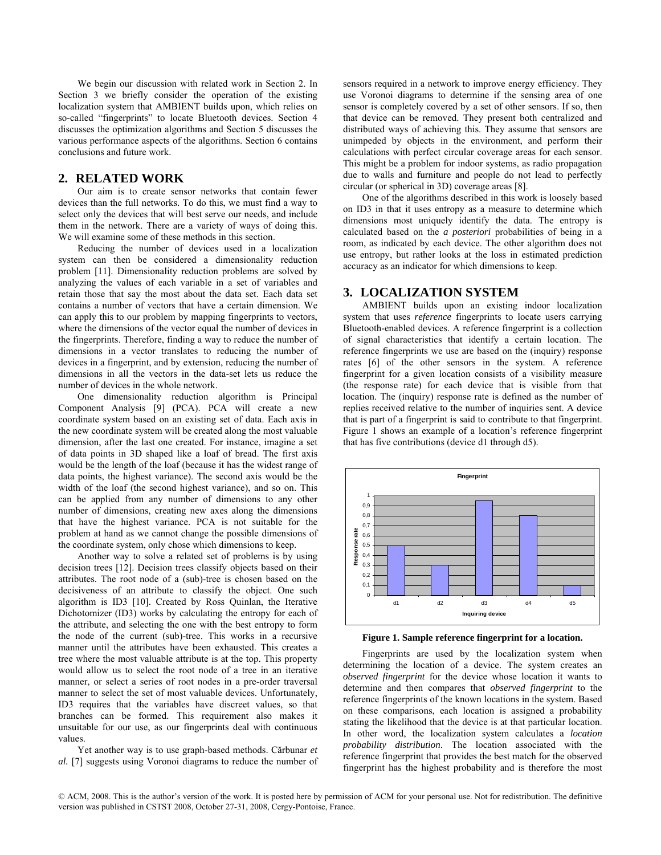We begin our discussion with related work in Section 2. In Section 3 we briefly consider the operation of the existing localization system that AMBIENT builds upon, which relies on so-called "fingerprints" to locate Bluetooth devices. Section 4 discusses the optimization algorithms and Section 5 discusses the various performance aspects of the algorithms. Section 6 contains conclusions and future work.

## **2. RELATED WORK**

Our aim is to create sensor networks that contain fewer devices than the full networks. To do this, we must find a way to select only the devices that will best serve our needs, and include them in the network. There are a variety of ways of doing this. We will examine some of these methods in this section.

Reducing the number of devices used in a localization system can then be considered a dimensionality reduction problem [11]. Dimensionality reduction problems are solved by analyzing the values of each variable in a set of variables and retain those that say the most about the data set. Each data set contains a number of vectors that have a certain dimension. We can apply this to our problem by mapping fingerprints to vectors, where the dimensions of the vector equal the number of devices in the fingerprints. Therefore, finding a way to reduce the number of dimensions in a vector translates to reducing the number of devices in a fingerprint, and by extension, reducing the number of dimensions in all the vectors in the data-set lets us reduce the number of devices in the whole network.

One dimensionality reduction algorithm is Principal Component Analysis [9] (PCA). PCA will create a new coordinate system based on an existing set of data. Each axis in the new coordinate system will be created along the most valuable dimension, after the last one created. For instance, imagine a set of data points in 3D shaped like a loaf of bread. The first axis would be the length of the loaf (because it has the widest range of data points, the highest variance). The second axis would be the width of the loaf (the second highest variance), and so on. This can be applied from any number of dimensions to any other number of dimensions, creating new axes along the dimensions that have the highest variance. PCA is not suitable for the problem at hand as we cannot change the possible dimensions of the coordinate system, only chose which dimensions to keep.

Another way to solve a related set of problems is by using decision trees [12]. Decision trees classify objects based on their attributes. The root node of a (sub)-tree is chosen based on the decisiveness of an attribute to classify the object. One such algorithm is ID3 [10]. Created by Ross Quinlan, the Iterative Dichotomizer (ID3) works by calculating the entropy for each of the attribute, and selecting the one with the best entropy to form the node of the current (sub)-tree. This works in a recursive manner until the attributes have been exhausted. This creates a tree where the most valuable attribute is at the top. This property would allow us to select the root node of a tree in an iterative manner, or select a series of root nodes in a pre-order traversal manner to select the set of most valuable devices. Unfortunately, ID3 requires that the variables have discreet values, so that branches can be formed. This requirement also makes it unsuitable for our use, as our fingerprints deal with continuous values.

Yet another way is to use graph-based methods. Cărbunar *et al.* [7] suggests using Voronoi diagrams to reduce the number of sensors required in a network to improve energy efficiency. They use Voronoi diagrams to determine if the sensing area of one sensor is completely covered by a set of other sensors. If so, then that device can be removed. They present both centralized and distributed ways of achieving this. They assume that sensors are unimpeded by objects in the environment, and perform their calculations with perfect circular coverage areas for each sensor. This might be a problem for indoor systems, as radio propagation due to walls and furniture and people do not lead to perfectly circular (or spherical in 3D) coverage areas [8].

One of the algorithms described in this work is loosely based on ID3 in that it uses entropy as a measure to determine which dimensions most uniquely identify the data. The entropy is calculated based on the *a posteriori* probabilities of being in a room, as indicated by each device. The other algorithm does not use entropy, but rather looks at the loss in estimated prediction accuracy as an indicator for which dimensions to keep.

#### **3. LOCALIZATION SYSTEM**

AMBIENT builds upon an existing indoor localization system that uses *reference* fingerprints to locate users carrying Bluetooth-enabled devices. A reference fingerprint is a collection of signal characteristics that identify a certain location. The reference fingerprints we use are based on the (inquiry) response rates [6] of the other sensors in the system. A reference fingerprint for a given location consists of a visibility measure (the response rate) for each device that is visible from that location. The (inquiry) response rate is defined as the number of replies received relative to the number of inquiries sent. A device that is part of a fingerprint is said to contribute to that fingerprint. Figure 1 shows an example of a location's reference fingerprint that has five contributions (device d1 through d5).



**Figure 1. Sample reference fingerprint for a location.** 

Fingerprints are used by the localization system when determining the location of a device. The system creates an *observed fingerprint* for the device whose location it wants to determine and then compares that *observed fingerprint* to the reference fingerprints of the known locations in the system. Based on these comparisons, each location is assigned a probability stating the likelihood that the device is at that particular location. In other word, the localization system calculates a *location probability distribution*. The location associated with the reference fingerprint that provides the best match for the observed fingerprint has the highest probability and is therefore the most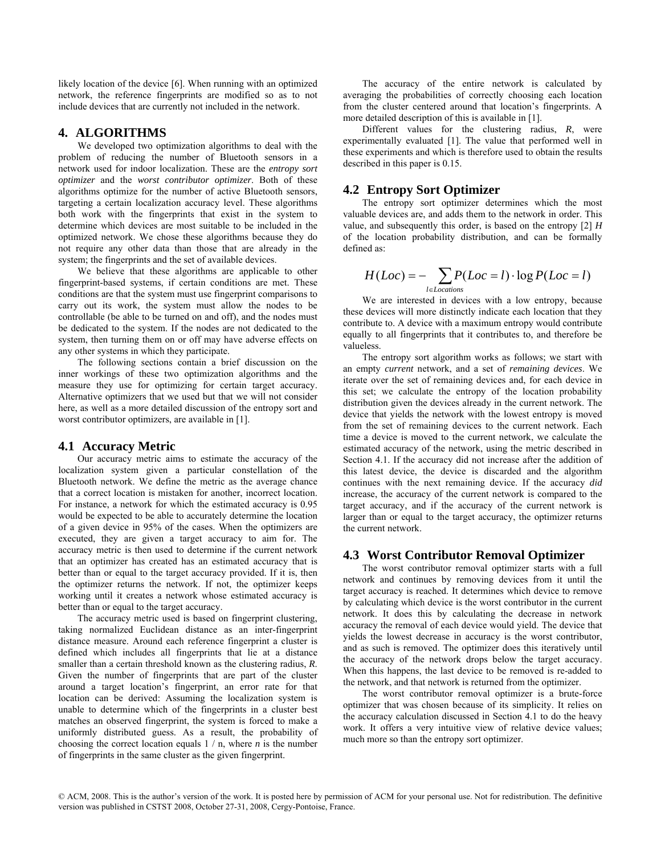likely location of the device [6]. When running with an optimized network, the reference fingerprints are modified so as to not include devices that are currently not included in the network.

### **4. ALGORITHMS**

We developed two optimization algorithms to deal with the problem of reducing the number of Bluetooth sensors in a network used for indoor localization. These are the *entropy sort optimizer* and the *worst contributor optimizer*. Both of these algorithms optimize for the number of active Bluetooth sensors, targeting a certain localization accuracy level. These algorithms both work with the fingerprints that exist in the system to determine which devices are most suitable to be included in the optimized network. We chose these algorithms because they do not require any other data than those that are already in the system; the fingerprints and the set of available devices.

We believe that these algorithms are applicable to other fingerprint-based systems, if certain conditions are met. These conditions are that the system must use fingerprint comparisons to carry out its work, the system must allow the nodes to be controllable (be able to be turned on and off), and the nodes must be dedicated to the system. If the nodes are not dedicated to the system, then turning them on or off may have adverse effects on any other systems in which they participate.

The following sections contain a brief discussion on the inner workings of these two optimization algorithms and the measure they use for optimizing for certain target accuracy. Alternative optimizers that we used but that we will not consider here, as well as a more detailed discussion of the entropy sort and worst contributor optimizers, are available in [1].

#### **4.1 Accuracy Metric**

Our accuracy metric aims to estimate the accuracy of the localization system given a particular constellation of the Bluetooth network. We define the metric as the average chance that a correct location is mistaken for another, incorrect location. For instance, a network for which the estimated accuracy is 0.95 would be expected to be able to accurately determine the location of a given device in 95% of the cases. When the optimizers are executed, they are given a target accuracy to aim for. The accuracy metric is then used to determine if the current network that an optimizer has created has an estimated accuracy that is better than or equal to the target accuracy provided. If it is, then the optimizer returns the network. If not, the optimizer keeps working until it creates a network whose estimated accuracy is better than or equal to the target accuracy.

The accuracy metric used is based on fingerprint clustering, taking normalized Euclidean distance as an inter-fingerprint distance measure. Around each reference fingerprint a cluster is defined which includes all fingerprints that lie at a distance smaller than a certain threshold known as the clustering radius, *R*. Given the number of fingerprints that are part of the cluster around a target location's fingerprint, an error rate for that location can be derived: Assuming the localization system is unable to determine which of the fingerprints in a cluster best matches an observed fingerprint, the system is forced to make a uniformly distributed guess. As a result, the probability of choosing the correct location equals  $1/n$ , where *n* is the number of fingerprints in the same cluster as the given fingerprint.

The accuracy of the entire network is calculated by averaging the probabilities of correctly choosing each location from the cluster centered around that location's fingerprints. A more detailed description of this is available in [1].

Different values for the clustering radius, *R*, were experimentally evaluated [1]. The value that performed well in these experiments and which is therefore used to obtain the results described in this paper is 0.15.

#### **4.2 Entropy Sort Optimizer**

The entropy sort optimizer determines which the most valuable devices are, and adds them to the network in order. This value, and subsequently this order, is based on the entropy [2] *H* of the location probability distribution, and can be formally defined as:

$$
H(Loc) = -\sum_{l \in \text{Locations}} P(Loc = l) \cdot \log P(Loc = l)
$$

We are interested in devices with a low entropy, because these devices will more distinctly indicate each location that they contribute to. A device with a maximum entropy would contribute equally to all fingerprints that it contributes to, and therefore be valueless.

The entropy sort algorithm works as follows; we start with an empty *current* network, and a set of *remaining devices*. We iterate over the set of remaining devices and, for each device in this set; we calculate the entropy of the location probability distribution given the devices already in the current network. The device that yields the network with the lowest entropy is moved from the set of remaining devices to the current network. Each time a device is moved to the current network, we calculate the estimated accuracy of the network, using the metric described in Section 4.1. If the accuracy did not increase after the addition of this latest device, the device is discarded and the algorithm continues with the next remaining device. If the accuracy *did* increase, the accuracy of the current network is compared to the target accuracy, and if the accuracy of the current network is larger than or equal to the target accuracy, the optimizer returns the current network.

#### **4.3 Worst Contributor Removal Optimizer**

The worst contributor removal optimizer starts with a full network and continues by removing devices from it until the target accuracy is reached. It determines which device to remove by calculating which device is the worst contributor in the current network. It does this by calculating the decrease in network accuracy the removal of each device would yield. The device that yields the lowest decrease in accuracy is the worst contributor, and as such is removed. The optimizer does this iteratively until the accuracy of the network drops below the target accuracy. When this happens, the last device to be removed is re-added to the network, and that network is returned from the optimizer.

The worst contributor removal optimizer is a brute-force optimizer that was chosen because of its simplicity. It relies on the accuracy calculation discussed in Section 4.1 to do the heavy work. It offers a very intuitive view of relative device values; much more so than the entropy sort optimizer.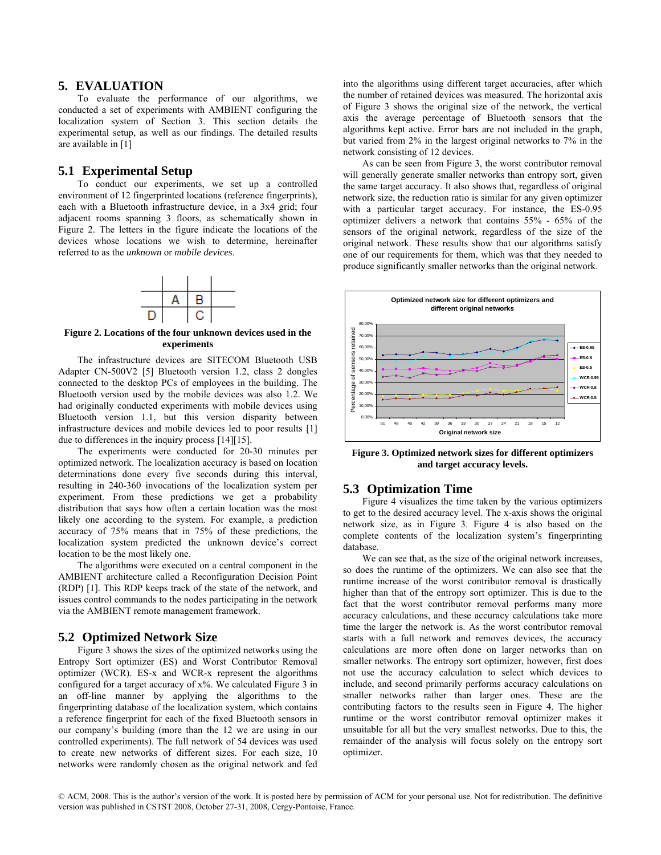#### **5. EVALUATION**

To evaluate the performance of our algorithms, we conducted a set of experiments with AMBIENT configuring the localization system of Section 3. This section details the experimental setup, as well as our findings. The detailed results are available in [1]

#### **5.1 Experimental Setup**

To conduct our experiments, we set up a controlled environment of 12 fingerprinted locations (reference fingerprints), each with a Bluetooth infrastructure device, in a 3x4 grid; four adjacent rooms spanning 3 floors, as schematically shown in Figure 2. The letters in the figure indicate the locations of the devices whose locations we wish to determine, hereinafter referred to as the *unknown* or *mobile devices*.



**Figure 2. Locations of the four unknown devices used in the experiments** 

The infrastructure devices are SITECOM Bluetooth USB Adapter CN-500V2 [5] Bluetooth version 1.2, class 2 dongles connected to the desktop PCs of employees in the building. The Bluetooth version used by the mobile devices was also 1.2. We had originally conducted experiments with mobile devices using Bluetooth version 1.1, but this version disparity between infrastructure devices and mobile devices led to poor results [1] due to differences in the inquiry process [14][15].

The experiments were conducted for 20-30 minutes per optimized network. The localization accuracy is based on location determinations done every five seconds during this interval, resulting in 240-360 invocations of the localization system per experiment. From these predictions we get a probability distribution that says how often a certain location was the most likely one according to the system. For example, a prediction accuracy of 75% means that in 75% of these predictions, the localization system predicted the unknown device's correct location to be the most likely one.

The algorithms were executed on a central component in the AMBIENT architecture called a Reconfiguration Decision Point (RDP) [1]. This RDP keeps track of the state of the network, and issues control commands to the nodes participating in the network via the AMBIENT remote management framework.

#### **5.2 Optimized Network Size**

Figure 3 shows the sizes of the optimized networks using the Entropy Sort optimizer (ES) and Worst Contributor Removal optimizer (WCR). ES-x and WCR-x represent the algorithms configured for a target accuracy of x%. We calculated Figure 3 in an off-line manner by applying the algorithms to the fingerprinting database of the localization system, which contains a reference fingerprint for each of the fixed Bluetooth sensors in our company's building (more than the 12 we are using in our controlled experiments). The full network of 54 devices was used to create new networks of different sizes. For each size, 10 networks were randomly chosen as the original network and fed

into the algorithms using different target accuracies, after which the number of retained devices was measured. The horizontal axis of Figure 3 shows the original size of the network, the vertical axis the average percentage of Bluetooth sensors that the algorithms kept active. Error bars are not included in the graph, but varied from 2% in the largest original networks to 7% in the network consisting of 12 devices.

As can be seen from Figure 3, the worst contributor removal will generally generate smaller networks than entropy sort, given the same target accuracy. It also shows that, regardless of original network size, the reduction ratio is similar for any given optimizer with a particular target accuracy. For instance, the ES-0.95 optimizer delivers a network that contains 55% - 65% of the sensors of the original network, regardless of the size of the original network. These results show that our algorithms satisfy one of our requirements for them, which was that they needed to produce significantly smaller networks than the original network.



**Figure 3. Optimized network sizes for different optimizers and target accuracy levels.** 

#### **5.3 Optimization Time**

Figure 4 visualizes the time taken by the various optimizers to get to the desired accuracy level. The x-axis shows the original network size, as in Figure 3. Figure 4 is also based on the complete contents of the localization system's fingerprinting database.

We can see that, as the size of the original network increases, so does the runtime of the optimizers. We can also see that the runtime increase of the worst contributor removal is drastically higher than that of the entropy sort optimizer. This is due to the fact that the worst contributor removal performs many more accuracy calculations, and these accuracy calculations take more time the larger the network is. As the worst contributor removal starts with a full network and removes devices, the accuracy calculations are more often done on larger networks than on smaller networks. The entropy sort optimizer, however, first does not use the accuracy calculation to select which devices to include, and second primarily performs accuracy calculations on smaller networks rather than larger ones. These are the contributing factors to the results seen in Figure 4. The higher runtime or the worst contributor removal optimizer makes it unsuitable for all but the very smallest networks. Due to this, the remainder of the analysis will focus solely on the entropy sort optimizer.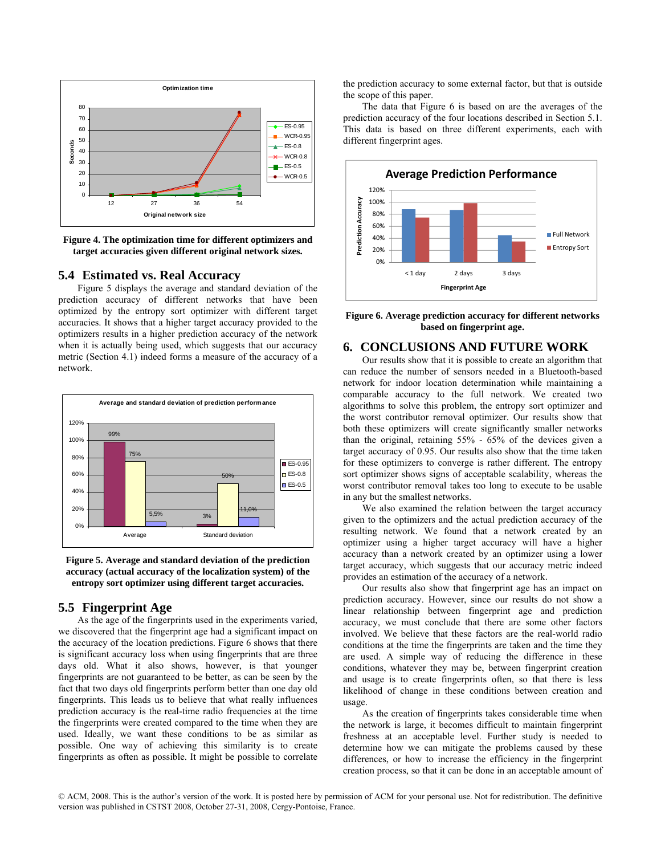

**Figure 4. The optimization time for different optimizers and target accuracies given different original network sizes.** 

#### **5.4 Estimated vs. Real Accuracy**

Figure 5 displays the average and standard deviation of the prediction accuracy of different networks that have been optimized by the entropy sort optimizer with different target accuracies. It shows that a higher target accuracy provided to the optimizers results in a higher prediction accuracy of the network when it is actually being used, which suggests that our accuracy metric (Section 4.1) indeed forms a measure of the accuracy of a network.



**Figure 5. Average and standard deviation of the prediction accuracy (actual accuracy of the localization system) of the entropy sort optimizer using different target accuracies.** 

# **5.5 Fingerprint Age**

As the age of the fingerprints used in the experiments varied, we discovered that the fingerprint age had a significant impact on the accuracy of the location predictions. Figure 6 shows that there is significant accuracy loss when using fingerprints that are three days old. What it also shows, however, is that younger fingerprints are not guaranteed to be better, as can be seen by the fact that two days old fingerprints perform better than one day old fingerprints. This leads us to believe that what really influences prediction accuracy is the real-time radio frequencies at the time the fingerprints were created compared to the time when they are used. Ideally, we want these conditions to be as similar as possible. One way of achieving this similarity is to create fingerprints as often as possible. It might be possible to correlate the prediction accuracy to some external factor, but that is outside the scope of this paper.

The data that Figure 6 is based on are the averages of the prediction accuracy of the four locations described in Section 5.1. This data is based on three different experiments, each with different fingerprint ages.



**Figure 6. Average prediction accuracy for different networks based on fingerprint age.** 

# **6. CONCLUSIONS AND FUTURE WORK**

Our results show that it is possible to create an algorithm that can reduce the number of sensors needed in a Bluetooth-based network for indoor location determination while maintaining a comparable accuracy to the full network. We created two algorithms to solve this problem, the entropy sort optimizer and the worst contributor removal optimizer. Our results show that both these optimizers will create significantly smaller networks than the original, retaining 55% - 65% of the devices given a target accuracy of 0.95. Our results also show that the time taken for these optimizers to converge is rather different. The entropy sort optimizer shows signs of acceptable scalability, whereas the worst contributor removal takes too long to execute to be usable in any but the smallest networks.

We also examined the relation between the target accuracy given to the optimizers and the actual prediction accuracy of the resulting network. We found that a network created by an optimizer using a higher target accuracy will have a higher accuracy than a network created by an optimizer using a lower target accuracy, which suggests that our accuracy metric indeed provides an estimation of the accuracy of a network.

Our results also show that fingerprint age has an impact on prediction accuracy. However, since our results do not show a linear relationship between fingerprint age and prediction accuracy, we must conclude that there are some other factors involved. We believe that these factors are the real-world radio conditions at the time the fingerprints are taken and the time they are used. A simple way of reducing the difference in these conditions, whatever they may be, between fingerprint creation and usage is to create fingerprints often, so that there is less likelihood of change in these conditions between creation and usage.

As the creation of fingerprints takes considerable time when the network is large, it becomes difficult to maintain fingerprint freshness at an acceptable level. Further study is needed to determine how we can mitigate the problems caused by these differences, or how to increase the efficiency in the fingerprint creation process, so that it can be done in an acceptable amount of